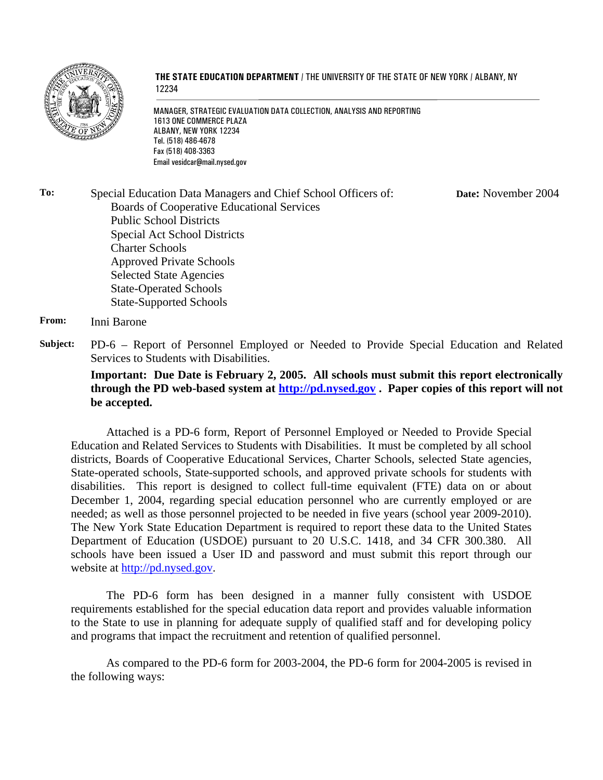

#### **THE STATE EDUCATION DEPARTMENT** / THE UNIVERSITY OF THE STATE OF NEW YORK / ALBANY, NY 12234

MANAGER, STRATEGIC EVALUATION DATA COLLECTION, ANALYSIS AND REPORTING 1613 ONE COMMERCE PLAZA ALBANY, NEW YORK 12234 Tel. (518) 486-4678 Fax (518) 408-3363 Email vesidcar@mail.nysed.gov

**To:** Special Education Data Managers and Chief School Officers of: Boards of Cooperative Educational Services Public School Districts Special Act School Districts Charter Schools Approved Private Schools Selected State Agencies State-Operated Schools State-Supported Schools **Date:** November 2004

#### **From:** Inni Barone

**Subject:** PD-6 – Report of Personnel Employed or Needed to Provide Special Education and Related Services to Students with Disabilities.

**Important: Due Date is February 2, 2005. All schools must submit this report electronically through the PD web-based system at http://pd.nysed.gov . Paper copies of this report will not be accepted.**

Attached is a PD-6 form, Report of Personnel Employed or Needed to Provide Special Education and Related Services to Students with Disabilities. It must be completed by all school districts, Boards of Cooperative Educational Services, Charter Schools, selected State agencies, State-operated schools, State-supported schools, and approved private schools for students with disabilities. This report is designed to collect full-time equivalent (FTE) data on or about December 1, 2004, regarding special education personnel who are currently employed or are needed; as well as those personnel projected to be needed in five years (school year 2009-2010). The New York State Education Department is required to report these data to the United States Department of Education (USDOE) pursuant to 20 U.S.C. 1418, and 34 CFR 300.380. All schools have been issued a User ID and password and must submit this report through our website at http://pd.nysed.gov.

The PD-6 form has been designed in a manner fully consistent with USDOE requirements established for the special education data report and provides valuable information to the State to use in planning for adequate supply of qualified staff and for developing policy and programs that impact the recruitment and retention of qualified personnel.

 As compared to the PD-6 form for 2003-2004, the PD-6 form for 2004-2005 is revised in the following ways: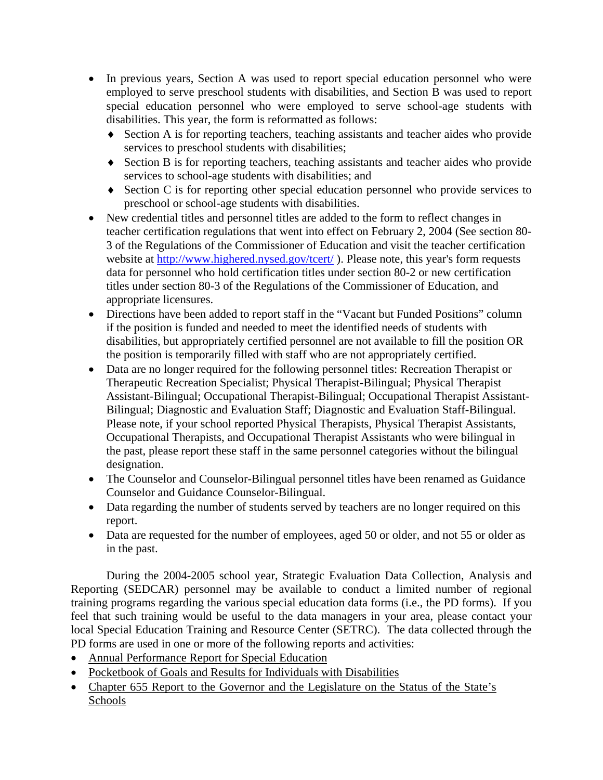- In previous years, Section A was used to report special education personnel who were employed to serve preschool students with disabilities, and Section B was used to report special education personnel who were employed to serve school-age students with disabilities. This year, the form is reformatted as follows:
	- ♦ Section A is for reporting teachers, teaching assistants and teacher aides who provide services to preschool students with disabilities;
	- ♦ Section B is for reporting teachers, teaching assistants and teacher aides who provide services to school-age students with disabilities; and
	- ♦ Section C is for reporting other special education personnel who provide services to preschool or school-age students with disabilities.
- New credential titles and personnel titles are added to the form to reflect changes in teacher certification regulations that went into effect on February 2, 2004 (See section 80- 3 of the Regulations of the Commissioner of Education and visit the teacher certification website at http://www.highered.nysed.gov/tcert/). Please note, this year's form requests data for personnel who hold certification titles under section 80-2 or new certification titles under section 80-3 of the Regulations of the Commissioner of Education, and appropriate licensures.
- Directions have been added to report staff in the "Vacant but Funded Positions" column if the position is funded and needed to meet the identified needs of students with disabilities, but appropriately certified personnel are not available to fill the position OR the position is temporarily filled with staff who are not appropriately certified.
- Data are no longer required for the following personnel titles: Recreation Therapist or Therapeutic Recreation Specialist; Physical Therapist-Bilingual; Physical Therapist Assistant-Bilingual; Occupational Therapist-Bilingual; Occupational Therapist Assistant-Bilingual; Diagnostic and Evaluation Staff; Diagnostic and Evaluation Staff-Bilingual. Please note, if your school reported Physical Therapists, Physical Therapist Assistants, Occupational Therapists, and Occupational Therapist Assistants who were bilingual in the past, please report these staff in the same personnel categories without the bilingual designation.
- The Counselor and Counselor-Bilingual personnel titles have been renamed as Guidance Counselor and Guidance Counselor-Bilingual.
- Data regarding the number of students served by teachers are no longer required on this report.
- Data are requested for the number of employees, aged 50 or older, and not 55 or older as in the past.

During the 2004-2005 school year, Strategic Evaluation Data Collection, Analysis and Reporting (SEDCAR) personnel may be available to conduct a limited number of regional training programs regarding the various special education data forms (i.e., the PD forms). If you feel that such training would be useful to the data managers in your area, please contact your local Special Education Training and Resource Center (SETRC). The data collected through the PD forms are used in one or more of the following reports and activities:

- Annual Performance Report for Special Education
- Pocketbook of Goals and Results for Individuals with Disabilities
- Chapter 655 Report to the Governor and the Legislature on the Status of the State's Schools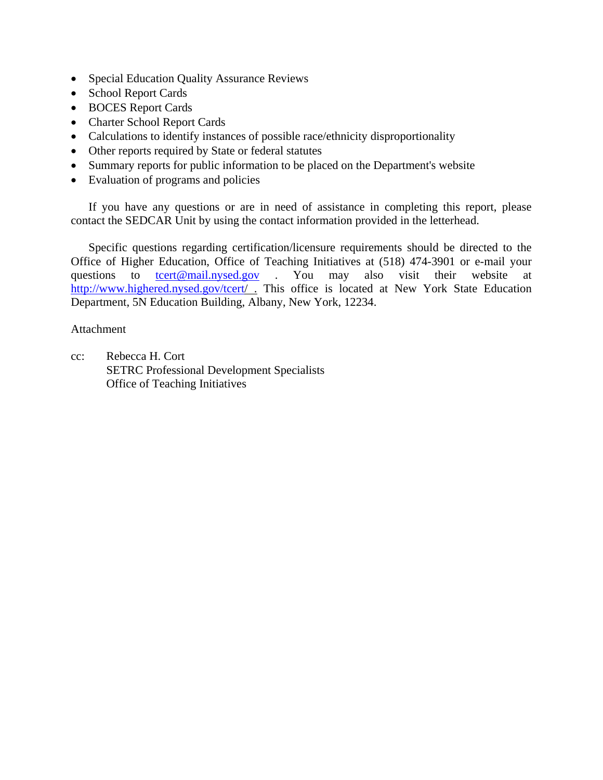- Special Education Quality Assurance Reviews
- School Report Cards
- BOCES Report Cards
- Charter School Report Cards
- Calculations to identify instances of possible race/ethnicity disproportionality
- Other reports required by State or federal statutes
- Summary reports for public information to be placed on the Department's website
- Evaluation of programs and policies

If you have any questions or are in need of assistance in completing this report, please contact the SEDCAR Unit by using the contact information provided in the letterhead.

Specific questions regarding certification/licensure requirements should be directed to the Office of Higher Education, Office of Teaching Initiatives at (518) 474-3901 or e-mail your questions to tcert@mail.nysed.gov . You may also visit their website at http://www.highered.nysed.gov/tcert/ . This office is located at New York State Education Department, 5N Education Building, Albany, New York, 12234.

### Attachment

cc: Rebecca H. Cort SETRC Professional Development Specialists Office of Teaching Initiatives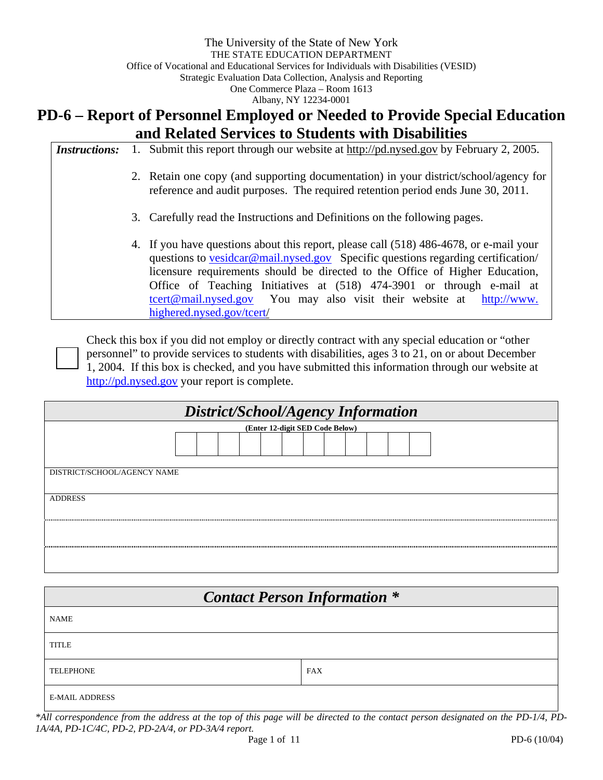# **PD-6 – Report of Personnel Employed or Needed to Provide Special Education and Related Services to Students with Disabilities**

| <i>Instructions:</i> | 1. | Submit this report through our website at http://pd.nysed.gov by February 2, 2005.                                                                                                                                                                                                                                                                                                                                                              |
|----------------------|----|-------------------------------------------------------------------------------------------------------------------------------------------------------------------------------------------------------------------------------------------------------------------------------------------------------------------------------------------------------------------------------------------------------------------------------------------------|
|                      |    | 2. Retain one copy (and supporting documentation) in your district/school/agency for<br>reference and audit purposes. The required retention period ends June 30, 2011.                                                                                                                                                                                                                                                                         |
|                      |    | 3. Carefully read the Instructions and Definitions on the following pages.                                                                                                                                                                                                                                                                                                                                                                      |
|                      |    | 4. If you have questions about this report, please call (518) 486-4678, or e-mail your<br>questions to vesidear@mail.nysed.gov Specific questions regarding certification/<br>licensure requirements should be directed to the Office of Higher Education,<br>Office of Teaching Initiatives at (518) 474-3901 or through e-mail at<br><u>tcert@mail.nysed.gov</u> You may also visit their website at http://www.<br>highered.nysed.gov/tcert/ |

Check this box if you did not employ or directly contract with any special education or "other personnel" to provide services to students with disabilities, ages 3 to 21, on or about December 1, 2004. If this box is checked, and you have submitted this information through our website at http://pd.nysed.gov your report is complete.

| District/School/Agency Information |  |  |  |  |  |  |  |  |  |
|------------------------------------|--|--|--|--|--|--|--|--|--|
| (Enter 12-digit SED Code Below)    |  |  |  |  |  |  |  |  |  |
|                                    |  |  |  |  |  |  |  |  |  |
| DISTRICT/SCHOOL/AGENCY NAME        |  |  |  |  |  |  |  |  |  |
| <b>ADDRESS</b>                     |  |  |  |  |  |  |  |  |  |
|                                    |  |  |  |  |  |  |  |  |  |
|                                    |  |  |  |  |  |  |  |  |  |

| <b>Contact Person Information *</b> |            |  |  |  |  |  |  |  |
|-------------------------------------|------------|--|--|--|--|--|--|--|
| <b>NAME</b>                         |            |  |  |  |  |  |  |  |
| <b>TITLE</b>                        |            |  |  |  |  |  |  |  |
| <b>TELEPHONE</b>                    | <b>FAX</b> |  |  |  |  |  |  |  |
| <b>E-MAIL ADDRESS</b>               |            |  |  |  |  |  |  |  |

*\*All correspondence from the address at the top of this page will be directed to the contact person designated on the PD-1/4, PD-1A/4A, PD-1C/4C, PD-2, PD-2A/4, or PD-3A/4 report.*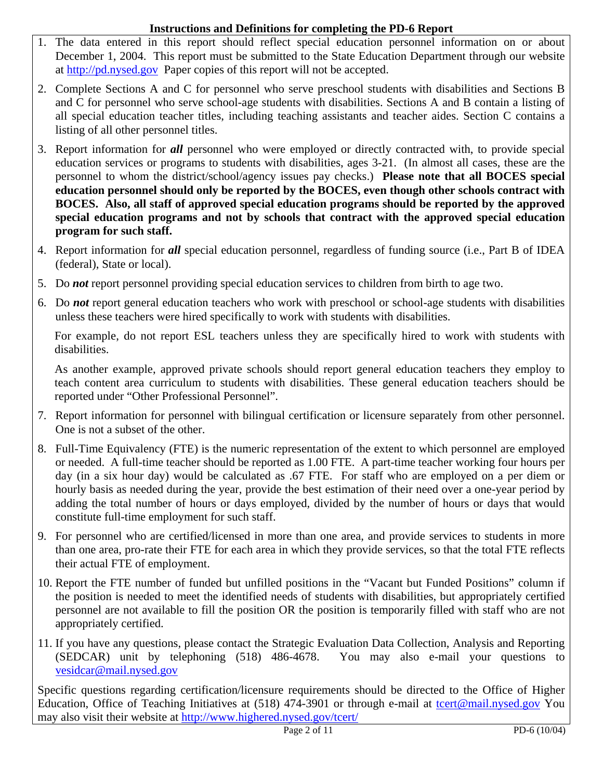### **Instructions and Definitions for completing the PD-6 Report**

- 1. The data entered in this report should reflect special education personnel information on or about December 1, 2004. This report must be submitted to the State Education Department through our website at http://pd.nysed.gov Paper copies of this report will not be accepted.
- 2. Complete Sections A and C for personnel who serve preschool students with disabilities and Sections B and C for personnel who serve school-age students with disabilities. Sections A and B contain a listing of all special education teacher titles, including teaching assistants and teacher aides. Section C contains a listing of all other personnel titles.
- 3. Report information for *all* personnel who were employed or directly contracted with, to provide special education services or programs to students with disabilities, ages 3-21. (In almost all cases, these are the personnel to whom the district/school/agency issues pay checks.) **Please note that all BOCES special education personnel should only be reported by the BOCES, even though other schools contract with BOCES. Also, all staff of approved special education programs should be reported by the approved special education programs and not by schools that contract with the approved special education program for such staff.**
- 4. Report information for *all* special education personnel, regardless of funding source (i.e., Part B of IDEA (federal), State or local).
- 5. Do *not* report personnel providing special education services to children from birth to age two.
- 6. Do *not* report general education teachers who work with preschool or school-age students with disabilities unless these teachers were hired specifically to work with students with disabilities.

For example, do not report ESL teachers unless they are specifically hired to work with students with disabilities.

As another example, approved private schools should report general education teachers they employ to teach content area curriculum to students with disabilities. These general education teachers should be reported under "Other Professional Personnel".

- 7. Report information for personnel with bilingual certification or licensure separately from other personnel. One is not a subset of the other.
- 8. Full-Time Equivalency (FTE) is the numeric representation of the extent to which personnel are employed or needed. A full-time teacher should be reported as 1.00 FTE. A part-time teacher working four hours per day (in a six hour day) would be calculated as .67 FTE. For staff who are employed on a per diem or hourly basis as needed during the year, provide the best estimation of their need over a one-year period by adding the total number of hours or days employed, divided by the number of hours or days that would constitute full-time employment for such staff.
- 9. For personnel who are certified/licensed in more than one area, and provide services to students in more than one area, pro-rate their FTE for each area in which they provide services, so that the total FTE reflects their actual FTE of employment.
- 10. Report the FTE number of funded but unfilled positions in the "Vacant but Funded Positions" column if the position is needed to meet the identified needs of students with disabilities, but appropriately certified personnel are not available to fill the position OR the position is temporarily filled with staff who are not appropriately certified.
- 11. If you have any questions, please contact the Strategic Evaluation Data Collection, Analysis and Reporting (SEDCAR) unit by telephoning (518) 486-4678. You may also e-mail your questions to vesidcar@mail.nysed.gov

Specific questions regarding certification/licensure requirements should be directed to the Office of Higher Education, Office of Teaching Initiatives at (518) 474-3901 or through e-mail at tcert@mail.nysed.gov You may also visit their website at http://www.highered.nysed.gov/tcert/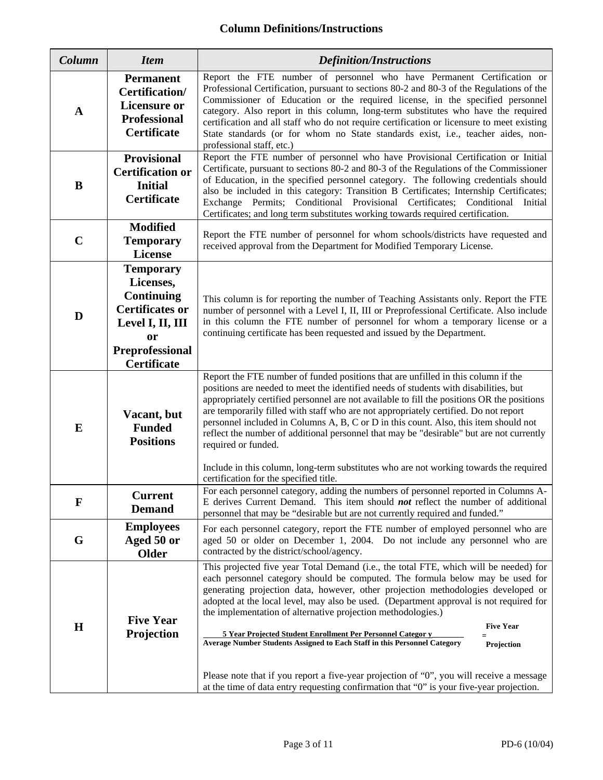### **Column Definitions/Instructions**

| Column      | <b>Item</b>                                                                                                                                                       | <b>Definition/Instructions</b>                                                                                                                                                                                                                                                                                                                                                                                                                                                                                                                                                                                                                                                                                                                                                             |  |  |  |  |  |
|-------------|-------------------------------------------------------------------------------------------------------------------------------------------------------------------|--------------------------------------------------------------------------------------------------------------------------------------------------------------------------------------------------------------------------------------------------------------------------------------------------------------------------------------------------------------------------------------------------------------------------------------------------------------------------------------------------------------------------------------------------------------------------------------------------------------------------------------------------------------------------------------------------------------------------------------------------------------------------------------------|--|--|--|--|--|
| $\mathbf A$ | <b>Permanent</b><br>Certification/<br><b>Licensure or</b><br><b>Professional</b><br><b>Certificate</b>                                                            | Report the FTE number of personnel who have Permanent Certification or<br>Professional Certification, pursuant to sections 80-2 and 80-3 of the Regulations of the<br>Commissioner of Education or the required license, in the specified personnel<br>category. Also report in this column, long-term substitutes who have the required<br>certification and all staff who do not require certification or licensure to meet existing<br>State standards (or for whom no State standards exist, i.e., teacher aides, non-<br>professional staff, etc.)                                                                                                                                                                                                                                    |  |  |  |  |  |
| B           | <b>Provisional</b><br><b>Certification or</b><br><b>Initial</b><br><b>Certificate</b>                                                                             | Report the FTE number of personnel who have Provisional Certification or Initial<br>Certificate, pursuant to sections 80-2 and 80-3 of the Regulations of the Commissioner<br>of Education, in the specified personnel category. The following credentials should<br>also be included in this category: Transition B Certificates; Internship Certificates;<br>Exchange Permits; Conditional Provisional Certificates; Conditional<br>Initial<br>Certificates; and long term substitutes working towards required certification.                                                                                                                                                                                                                                                           |  |  |  |  |  |
| $\mathbf C$ | <b>Modified</b><br><b>Temporary</b><br><b>License</b>                                                                                                             | Report the FTE number of personnel for whom schools/districts have requested and<br>received approval from the Department for Modified Temporary License.                                                                                                                                                                                                                                                                                                                                                                                                                                                                                                                                                                                                                                  |  |  |  |  |  |
| D           | <b>Temporary</b><br>Licenses,<br><b>Continuing</b><br><b>Certificates or</b><br>Level I, II, III<br><sub>or</sub><br><b>Preprofessional</b><br><b>Certificate</b> | This column is for reporting the number of Teaching Assistants only. Report the FTE<br>number of personnel with a Level I, II, III or Preprofessional Certificate. Also include<br>in this column the FTE number of personnel for whom a temporary license or a<br>continuing certificate has been requested and issued by the Department.                                                                                                                                                                                                                                                                                                                                                                                                                                                 |  |  |  |  |  |
| E           | Vacant, but<br><b>Funded</b><br><b>Positions</b>                                                                                                                  | Report the FTE number of funded positions that are unfilled in this column if the<br>positions are needed to meet the identified needs of students with disabilities, but<br>appropriately certified personnel are not available to fill the positions OR the positions<br>are temporarily filled with staff who are not appropriately certified. Do not report<br>personnel included in Columns A, B, C or D in this count. Also, this item should not<br>reflect the number of additional personnel that may be "desirable" but are not currently<br>required or funded.<br>Include in this column, long-term substitutes who are not working towards the required<br>certification for the specified title.                                                                             |  |  |  |  |  |
| F           | <b>Current</b><br><b>Demand</b>                                                                                                                                   | For each personnel category, adding the numbers of personnel reported in Columns A-<br>E derives Current Demand. This item should <b>not</b> reflect the number of additional<br>personnel that may be "desirable but are not currently required and funded."                                                                                                                                                                                                                                                                                                                                                                                                                                                                                                                              |  |  |  |  |  |
| G           | <b>Employees</b><br>Aged 50 or<br><b>Older</b>                                                                                                                    | For each personnel category, report the FTE number of employed personnel who are<br>aged 50 or older on December 1, 2004. Do not include any personnel who are<br>contracted by the district/school/agency.                                                                                                                                                                                                                                                                                                                                                                                                                                                                                                                                                                                |  |  |  |  |  |
| $\mathbf H$ | <b>Five Year</b><br>Projection                                                                                                                                    | This projected five year Total Demand (i.e., the total FTE, which will be needed) for<br>each personnel category should be computed. The formula below may be used for<br>generating projection data, however, other projection methodologies developed or<br>adopted at the local level, may also be used. (Department approval is not required for<br>the implementation of alternative projection methodologies.)<br><b>Five Year</b><br>5 Year Projected Student Enrollment Per Personnel Categor v<br>Average Number Students Assigned to Each Staff in this Personnel Category<br>Projection<br>Please note that if you report a five-year projection of "0", you will receive a message<br>at the time of data entry requesting confirmation that "0" is your five-year projection. |  |  |  |  |  |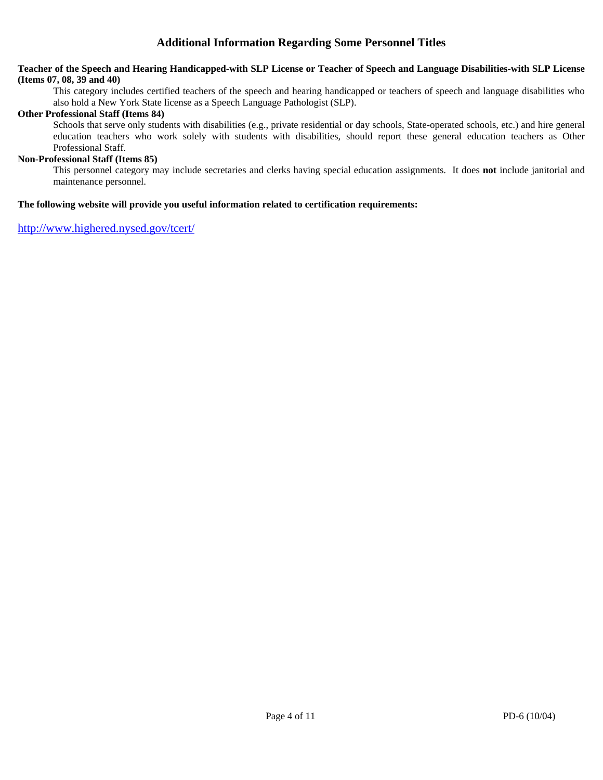### **Additional Information Regarding Some Personnel Titles**

#### **Teacher of the Speech and Hearing Handicapped-with SLP License or Teacher of Speech and Language Disabilities-with SLP License (Items 07, 08, 39 and 40)**

This category includes certified teachers of the speech and hearing handicapped or teachers of speech and language disabilities who also hold a New York State license as a Speech Language Pathologist (SLP).

#### **Other Professional Staff (Items 84)**

 Schools that serve only students with disabilities (e.g., private residential or day schools, State-operated schools, etc.) and hire general education teachers who work solely with students with disabilities, should report these general education teachers as Other Professional Staff.

#### **Non-Professional Staff (Items 85)**

 This personnel category may include secretaries and clerks having special education assignments. It does **not** include janitorial and maintenance personnel.

#### **The following website will provide you useful information related to certification requirements:**

http://www.highered.nysed.gov/tcert/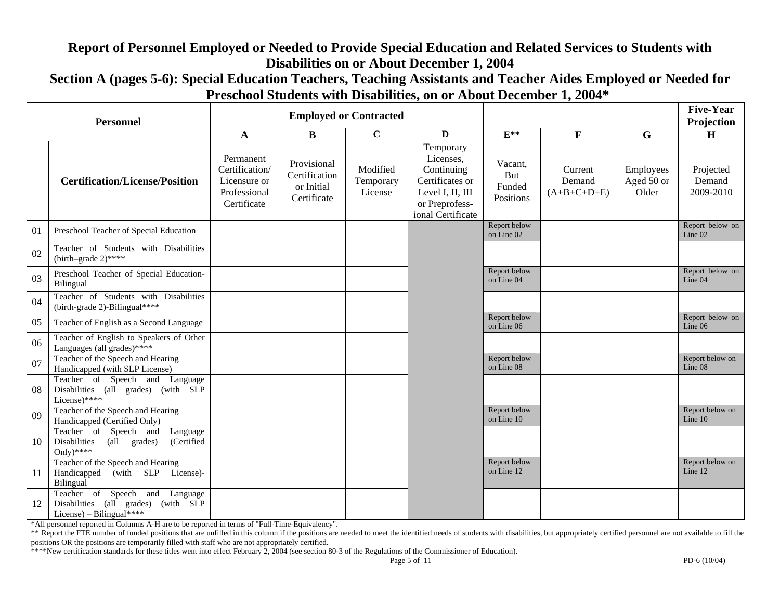# **Report of Personnel Employed or Needed to Provide Special Education and Related Services to Students with Disabilities on or About December 1, 2004**

**Section A (pages 5-6): Special Education Teachers, Teaching Assistants and Teacher Aides Employed or Needed for Preschool Students with Disabilities, on or About December 1, 2004\*** 

| <b>Personnel</b> |                                                                                                      |                                                                            |                                                           | <b>Employed or Contracted</b>    |                                                                                                                    |                                       |                                    |                                  | <b>Five-Year</b><br>Projection   |
|------------------|------------------------------------------------------------------------------------------------------|----------------------------------------------------------------------------|-----------------------------------------------------------|----------------------------------|--------------------------------------------------------------------------------------------------------------------|---------------------------------------|------------------------------------|----------------------------------|----------------------------------|
|                  |                                                                                                      | A                                                                          | B                                                         | $\mathbf C$                      | $\mathbf{D}$                                                                                                       | $E^{**}$                              | $\mathbf{F}$                       | G                                | H                                |
|                  | <b>Certification/License/Position</b>                                                                | Permanent<br>Certification/<br>Licensure or<br>Professional<br>Certificate | Provisional<br>Certification<br>or Initial<br>Certificate | Modified<br>Temporary<br>License | Temporary<br>Licenses,<br>Continuing<br>Certificates or<br>Level I, II, III<br>or Preprofess-<br>ional Certificate | Vacant,<br>But<br>Funded<br>Positions | Current<br>Demand<br>$(A+B+C+D+E)$ | Employees<br>Aged 50 or<br>Older | Projected<br>Demand<br>2009-2010 |
| 01               | Preschool Teacher of Special Education                                                               |                                                                            |                                                           |                                  |                                                                                                                    | Report below<br>on Line 02            |                                    |                                  | Report below on<br>Line 02       |
| 02               | Teacher of Students with Disabilities<br>(birth-grade $2)$ ****                                      |                                                                            |                                                           |                                  |                                                                                                                    |                                       |                                    |                                  |                                  |
| 03               | Preschool Teacher of Special Education-<br>Bilingual                                                 |                                                                            |                                                           |                                  |                                                                                                                    | Report below<br>on Line 04            |                                    |                                  | Report below on<br>Line 04       |
| 04               | Teacher of Students with Disabilities<br>(birth-grade 2)-Bilingual****                               |                                                                            |                                                           |                                  |                                                                                                                    |                                       |                                    |                                  |                                  |
| 05               | Teacher of English as a Second Language                                                              |                                                                            |                                                           |                                  |                                                                                                                    | Report below<br>on Line 06            |                                    |                                  | Report below on<br>Line 06       |
| 06               | Teacher of English to Speakers of Other<br>Languages (all grades)****                                |                                                                            |                                                           |                                  |                                                                                                                    |                                       |                                    |                                  |                                  |
| 07               | Teacher of the Speech and Hearing<br>Handicapped (with SLP License)                                  |                                                                            |                                                           |                                  |                                                                                                                    | Report below<br>on Line 08            |                                    |                                  | Report below on<br>Line 08       |
| 08               | Teacher of Speech and Language<br>Disabilities (all grades) (with SLP<br>License)****                |                                                                            |                                                           |                                  |                                                                                                                    |                                       |                                    |                                  |                                  |
| 09               | Teacher of the Speech and Hearing<br>Handicapped (Certified Only)                                    |                                                                            |                                                           |                                  |                                                                                                                    | Report below<br>on Line 10            |                                    |                                  | Report below on<br>Line 10       |
| 10               | Teacher of Speech and<br>Language<br>Disabilities<br>(all grades)<br>(Certified<br>Only)****         |                                                                            |                                                           |                                  |                                                                                                                    |                                       |                                    |                                  |                                  |
| 11               | Teacher of the Speech and Hearing<br>Handicapped<br>(with SLP License)-<br>Bilingual                 |                                                                            |                                                           |                                  |                                                                                                                    | Report below<br>on Line 12            |                                    |                                  | Report below on<br>Line 12       |
| 12               | Teacher of Speech and Language<br>Disabilities (all grades)<br>(with SLP<br>License) – Bilingual**** |                                                                            |                                                           |                                  |                                                                                                                    |                                       |                                    |                                  |                                  |

\*All personnel reported in Columns A-H are to be reported in terms of "Full-Time-Equivalency".

\*\* Report the FTE number of funded positions that are unfilled in this column if the positions are needed to meet the identified needs of students with disabilities, but appropriately certified personnel are not available positions OR the positions are temporarily filled with staff who are not appropriately certified.

\*\*\*\*New certification standards for these titles went into effect February 2, 2004 (see section 80-3 of the Regulations of the Commissioner of Education).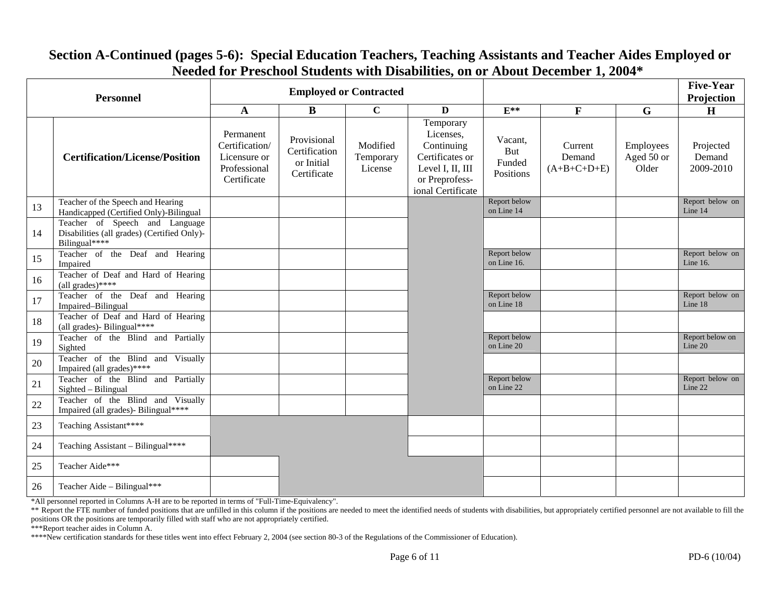| <b>Personnel</b> |                                                                                                |                                                                            | <b>Employed or Contracted</b>                             |                                  |                                                                                                                    |                                       | <b>Five-Year</b><br>Projection     |                                  |                                  |
|------------------|------------------------------------------------------------------------------------------------|----------------------------------------------------------------------------|-----------------------------------------------------------|----------------------------------|--------------------------------------------------------------------------------------------------------------------|---------------------------------------|------------------------------------|----------------------------------|----------------------------------|
|                  |                                                                                                | $\mathbf A$                                                                | $\bf{B}$                                                  | $\overline{c}$                   | D                                                                                                                  | $E^{**}$                              | $\mathbf F$                        | $\mathbf G$                      | $\mathbf H$                      |
|                  | <b>Certification/License/Position</b>                                                          | Permanent<br>Certification/<br>Licensure or<br>Professional<br>Certificate | Provisional<br>Certification<br>or Initial<br>Certificate | Modified<br>Temporary<br>License | Temporary<br>Licenses,<br>Continuing<br>Certificates or<br>Level I, II, III<br>or Preprofess-<br>ional Certificate | Vacant.<br>But<br>Funded<br>Positions | Current<br>Demand<br>$(A+B+C+D+E)$ | Employees<br>Aged 50 or<br>Older | Projected<br>Demand<br>2009-2010 |
| 13               | Teacher of the Speech and Hearing<br>Handicapped (Certified Only)-Bilingual                    |                                                                            |                                                           |                                  |                                                                                                                    | Report below<br>on Line 14            |                                    |                                  | Report below on<br>Line 14       |
| 14               | Teacher of Speech and Language<br>Disabilities (all grades) (Certified Only)-<br>Bilingual**** |                                                                            |                                                           |                                  |                                                                                                                    |                                       |                                    |                                  |                                  |
| 15               | Teacher of the Deaf and Hearing<br>Impaired                                                    |                                                                            |                                                           |                                  |                                                                                                                    | Report below<br>on Line 16.           |                                    |                                  | Report below on<br>Line 16.      |
| 16               | Teacher of Deaf and Hard of Hearing<br>(all grades)****                                        |                                                                            |                                                           |                                  |                                                                                                                    |                                       |                                    |                                  |                                  |
| 17               | Teacher of the Deaf and Hearing<br>Impaired-Bilingual                                          |                                                                            |                                                           |                                  |                                                                                                                    | Report below<br>on Line 18            |                                    |                                  | Report below on<br>Line 18       |
| 18               | Teacher of Deaf and Hard of Hearing<br>(all grades)- Bilingual****                             |                                                                            |                                                           |                                  |                                                                                                                    |                                       |                                    |                                  |                                  |
| 19               | Teacher of the Blind and Partially<br>Sighted                                                  |                                                                            |                                                           |                                  |                                                                                                                    | Report below<br>on Line 20            |                                    |                                  | Report below on<br>Line 20       |
| 20               | Teacher of the Blind and Visually<br>Impaired (all grades)*****                                |                                                                            |                                                           |                                  |                                                                                                                    |                                       |                                    |                                  |                                  |
| 21               | Teacher of the Blind and Partially<br>Sighted - Bilingual                                      |                                                                            |                                                           |                                  |                                                                                                                    | Report below<br>on Line 22            |                                    |                                  | Report below on<br>Line 22       |
| 22               | Teacher of the Blind and Visually<br>Impaired (all grades)- Bilingual****                      |                                                                            |                                                           |                                  |                                                                                                                    |                                       |                                    |                                  |                                  |
| 23               | Teaching Assistant****                                                                         |                                                                            |                                                           |                                  |                                                                                                                    |                                       |                                    |                                  |                                  |
| 24               | Teaching Assistant - Bilingual****                                                             |                                                                            |                                                           |                                  |                                                                                                                    |                                       |                                    |                                  |                                  |
| 25               | Teacher Aide***                                                                                |                                                                            |                                                           |                                  |                                                                                                                    |                                       |                                    |                                  |                                  |
| 26               | Teacher Aide - Bilingual***                                                                    |                                                                            |                                                           |                                  |                                                                                                                    |                                       |                                    |                                  |                                  |

### **Section A-Continued (pages 5-6): Special Education Teachers, Teaching Assistants and Teacher Aides Employed or Needed for Preschool Students with Disabilities, on or About December 1, 2004\***

\*All personnel reported in Columns A-H are to be reported in terms of "Full-Time-Equivalency".

\*\* Report the FTE number of funded positions that are unfilled in this column if the positions are needed to meet the identified needs of students with disabilities, but appropriately certified personnel are not available positions OR the positions are temporarily filled with staff who are not appropriately certified.

\*\*\*Report teacher aides in Column A.

<sup>\*\*\*\*</sup>New certification standards for these titles went into effect February 2, 2004 (see section 80-3 of the Regulations of the Commissioner of Education).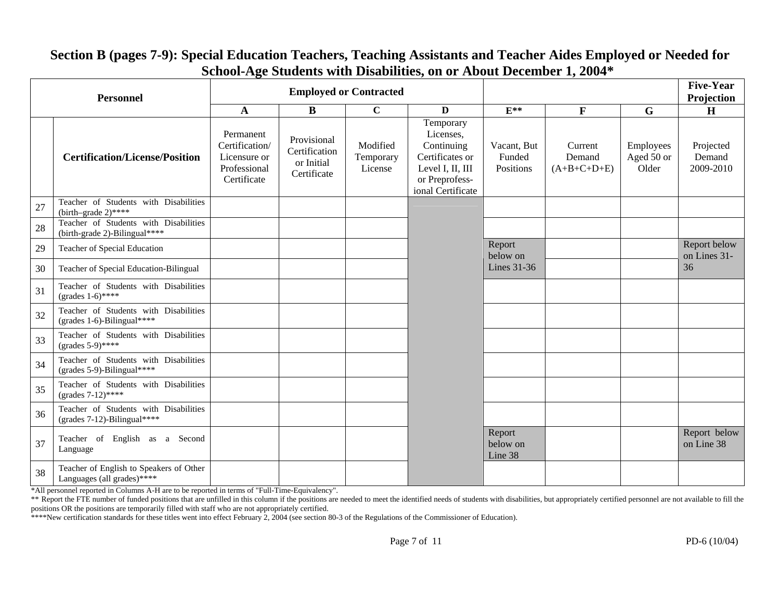| <b>Personnel</b> |                                                                        |                                                                            |                                                           | <b>Employed or Contracted</b>    |                                                                                                                    |                                    |                                    |                                  | <b>Five-Year</b><br>Projection   |
|------------------|------------------------------------------------------------------------|----------------------------------------------------------------------------|-----------------------------------------------------------|----------------------------------|--------------------------------------------------------------------------------------------------------------------|------------------------------------|------------------------------------|----------------------------------|----------------------------------|
|                  |                                                                        | A                                                                          | $\bf{B}$                                                  | $\mathbf C$                      | D                                                                                                                  | $E^{**}$                           | $\mathbf{F}$                       | G                                | H                                |
|                  | <b>Certification/License/Position</b>                                  | Permanent<br>Certification/<br>Licensure or<br>Professional<br>Certificate | Provisional<br>Certification<br>or Initial<br>Certificate | Modified<br>Temporary<br>License | Temporary<br>Licenses,<br>Continuing<br>Certificates or<br>Level I, II, III<br>or Preprofess-<br>ional Certificate | Vacant, But<br>Funded<br>Positions | Current<br>Demand<br>$(A+B+C+D+E)$ | Employees<br>Aged 50 or<br>Older | Projected<br>Demand<br>2009-2010 |
| 27               | Teacher of Students with Disabilities<br>(birth-grade $2)$ ****        |                                                                            |                                                           |                                  |                                                                                                                    |                                    |                                    |                                  |                                  |
| 28               | Teacher of Students with Disabilities<br>(birth-grade 2)-Bilingual**** |                                                                            |                                                           |                                  |                                                                                                                    |                                    |                                    |                                  |                                  |
| 29               | Teacher of Special Education                                           |                                                                            |                                                           |                                  |                                                                                                                    | Report<br>below on                 |                                    |                                  | Report below<br>on Lines 31-     |
| 30               | Teacher of Special Education-Bilingual                                 |                                                                            |                                                           |                                  |                                                                                                                    | Lines 31-36                        |                                    |                                  | 36                               |
| 31               | Teacher of Students with Disabilities<br>(grades $1-6$ )****           |                                                                            |                                                           |                                  |                                                                                                                    |                                    |                                    |                                  |                                  |
| 32               | Teacher of Students with Disabilities<br>(grades $1-6$ )-Bilingual**** |                                                                            |                                                           |                                  |                                                                                                                    |                                    |                                    |                                  |                                  |
| 33               | Teacher of Students with Disabilities<br>(grades $5-9$ )****           |                                                                            |                                                           |                                  |                                                                                                                    |                                    |                                    |                                  |                                  |
| 34               | Teacher of Students with Disabilities<br>(grades $5-9$ )-Bilingual**** |                                                                            |                                                           |                                  |                                                                                                                    |                                    |                                    |                                  |                                  |
| 35               | Teacher of Students with Disabilities<br>(grades $7-12$ )****          |                                                                            |                                                           |                                  |                                                                                                                    |                                    |                                    |                                  |                                  |
| 36               | Teacher of Students with Disabilities<br>(grades 7-12)-Bilingual****   |                                                                            |                                                           |                                  |                                                                                                                    |                                    |                                    |                                  |                                  |
| 37               | Teacher of English as a Second<br>Language                             |                                                                            |                                                           |                                  |                                                                                                                    | Report<br>below on<br>Line 38      |                                    |                                  | Report below<br>on Line 38       |
| 38               | Teacher of English to Speakers of Other<br>Languages (all grades)***** |                                                                            |                                                           |                                  |                                                                                                                    |                                    |                                    |                                  |                                  |

## **Section B (pages 7-9): Special Education Teachers, Teaching Assistants and Teacher Aides Employed or Needed for School-Age Students with Disabilities, on or About December 1, 2004\***

\*All personnel reported in Columns A-H are to be reported in terms of "Full-Time-Equivalency".

\*\* Report the FTE number of funded positions that are unfilled in this column if the positions are needed to meet the identified needs of students with disabilities, but appropriately certified personnel are not available positions OR the positions are temporarily filled with staff who are not appropriately certified.

\*\*\*\*New certification standards for these titles went into effect February 2, 2004 (see section 80-3 of the Regulations of the Commissioner of Education).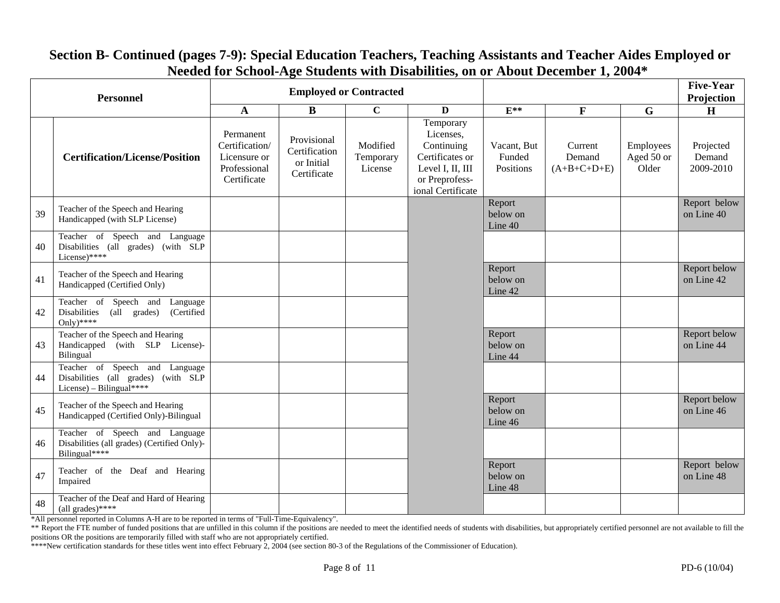| <b>Personnel</b> |                                                                                                   |                                                                            |                                                           | <b>Employed or Contracted</b>    |                                                                                                                    |                                    |                                    |                                  | <b>Five-Year</b><br>Projection   |
|------------------|---------------------------------------------------------------------------------------------------|----------------------------------------------------------------------------|-----------------------------------------------------------|----------------------------------|--------------------------------------------------------------------------------------------------------------------|------------------------------------|------------------------------------|----------------------------------|----------------------------------|
|                  |                                                                                                   | A                                                                          | B                                                         | $\mathbf C$                      | $\mathbf{D}$                                                                                                       | $E^{**}$                           | $\mathbf{F}$                       | $\mathbf G$                      | $\mathbf H$                      |
|                  | <b>Certification/License/Position</b>                                                             | Permanent<br>Certification/<br>Licensure or<br>Professional<br>Certificate | Provisional<br>Certification<br>or Initial<br>Certificate | Modified<br>Temporary<br>License | Temporary<br>Licenses,<br>Continuing<br>Certificates or<br>Level I, II, III<br>or Preprofess-<br>ional Certificate | Vacant, But<br>Funded<br>Positions | Current<br>Demand<br>$(A+B+C+D+E)$ | Employees<br>Aged 50 or<br>Older | Projected<br>Demand<br>2009-2010 |
| 39               | Teacher of the Speech and Hearing<br>Handicapped (with SLP License)                               |                                                                            |                                                           |                                  |                                                                                                                    | Report<br>below on<br>Line 40      |                                    |                                  | Report below<br>on Line 40       |
| 40               | Teacher of Speech and Language<br>Disabilities (all grades) (with SLP<br>License)****             |                                                                            |                                                           |                                  |                                                                                                                    |                                    |                                    |                                  |                                  |
| 41               | Teacher of the Speech and Hearing<br>Handicapped (Certified Only)                                 |                                                                            |                                                           |                                  |                                                                                                                    | Report<br>below on<br>Line 42      |                                    |                                  | Report below<br>on Line 42       |
| 42               | Teacher of Speech and<br>Language<br>Disabilities<br>(all grades)<br>(Certified<br>Only)****      |                                                                            |                                                           |                                  |                                                                                                                    |                                    |                                    |                                  |                                  |
| 43               | Teacher of the Speech and Hearing<br>Handicapped (with SLP License)-<br>Bilingual                 |                                                                            |                                                           |                                  |                                                                                                                    | Report<br>below on<br>Line 44      |                                    |                                  | Report below<br>on Line 44       |
| 44               | Teacher of Speech and Language<br>Disabilities (all grades) (with SLP<br>License) – Bilingual**** |                                                                            |                                                           |                                  |                                                                                                                    |                                    |                                    |                                  |                                  |
| 45               | Teacher of the Speech and Hearing<br>Handicapped (Certified Only)-Bilingual                       |                                                                            |                                                           |                                  |                                                                                                                    | Report<br>below on<br>Line 46      |                                    |                                  | Report below<br>on Line 46       |
| 46               | Teacher of Speech and Language<br>Disabilities (all grades) (Certified Only)-<br>Bilingual****    |                                                                            |                                                           |                                  |                                                                                                                    |                                    |                                    |                                  |                                  |
| 47               | Teacher of the Deaf and Hearing<br>Impaired                                                       |                                                                            |                                                           |                                  |                                                                                                                    | Report<br>below on<br>Line 48      |                                    |                                  | Report below<br>on Line 48       |
| 48               | Teacher of the Deaf and Hard of Hearing<br>(all grades)****                                       |                                                                            |                                                           |                                  |                                                                                                                    |                                    |                                    |                                  |                                  |

# **Section B- Continued (pages 7-9): Special Education Teachers, Teaching Assistants and Teacher Aides Employed or Needed for School-Age Students with Disabilities, on or About December 1, 2004\***

\*All personnel reported in Columns A-H are to be reported in terms of "Full-Time-Equivalency".

<sup>\*\*</sup> Report the FTE number of funded positions that are unfilled in this column if the positions are needed to meet the identified needs of students with disabilities, but appropriately certified personnel are not available positions OR the positions are temporarily filled with staff who are not appropriately certified.

<sup>\*\*\*\*</sup>New certification standards for these titles went into effect February 2, 2004 (see section 80-3 of the Regulations of the Commissioner of Education).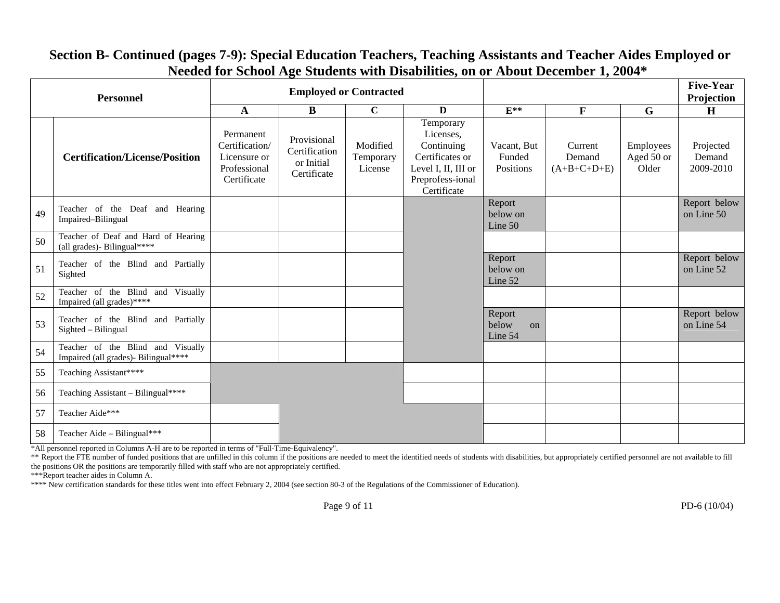| <b>Personnel</b> |                                                                           |                                                                            |                                                           | <b>Employed or Contracted</b>    |                                                                                                                   |                                    | <b>Five-Year</b><br>Projection     |                                  |                                  |
|------------------|---------------------------------------------------------------------------|----------------------------------------------------------------------------|-----------------------------------------------------------|----------------------------------|-------------------------------------------------------------------------------------------------------------------|------------------------------------|------------------------------------|----------------------------------|----------------------------------|
|                  |                                                                           | $\mathbf A$                                                                | B                                                         | $\mathbf C$                      | D                                                                                                                 | $E^{**}$                           | $\mathbf{F}$                       | G                                | H                                |
|                  | <b>Certification/License/Position</b>                                     | Permanent<br>Certification/<br>Licensure or<br>Professional<br>Certificate | Provisional<br>Certification<br>or Initial<br>Certificate | Modified<br>Temporary<br>License | Temporary<br>Licenses,<br>Continuing<br>Certificates or<br>Level I, II, III or<br>Preprofess-ional<br>Certificate | Vacant, But<br>Funded<br>Positions | Current<br>Demand<br>$(A+B+C+D+E)$ | Employees<br>Aged 50 or<br>Older | Projected<br>Demand<br>2009-2010 |
| 49               | Teacher of the Deaf and Hearing<br>Impaired-Bilingual                     |                                                                            |                                                           |                                  |                                                                                                                   | Report<br>below on<br>Line 50      |                                    |                                  | Report below<br>on Line 50       |
| 50               | Teacher of Deaf and Hard of Hearing<br>(all grades)- Bilingual*****       |                                                                            |                                                           |                                  |                                                                                                                   |                                    |                                    |                                  |                                  |
| 51               | Teacher of the Blind and Partially<br>Sighted                             |                                                                            |                                                           |                                  |                                                                                                                   | Report<br>below on<br>Line 52      |                                    |                                  | Report below<br>on Line 52       |
| 52               | Teacher of the Blind<br>and Visually<br>Impaired (all grades)****         |                                                                            |                                                           |                                  |                                                                                                                   |                                    |                                    |                                  |                                  |
| 53               | Teacher of the Blind and Partially<br>Sighted - Bilingual                 |                                                                            |                                                           |                                  |                                                                                                                   | Report<br>below<br>on<br>Line 54   |                                    |                                  | Report below<br>on Line 54       |
| 54               | Teacher of the Blind and Visually<br>Impaired (all grades)- Bilingual**** |                                                                            |                                                           |                                  |                                                                                                                   |                                    |                                    |                                  |                                  |
| 55               | Teaching Assistant****                                                    |                                                                            |                                                           |                                  |                                                                                                                   |                                    |                                    |                                  |                                  |
| 56               | Teaching Assistant – Bilingual****                                        |                                                                            |                                                           |                                  |                                                                                                                   |                                    |                                    |                                  |                                  |
| 57               | Teacher Aide***                                                           |                                                                            |                                                           |                                  |                                                                                                                   |                                    |                                    |                                  |                                  |
| 58               | Teacher Aide – Bilingual***                                               |                                                                            |                                                           |                                  |                                                                                                                   |                                    |                                    |                                  |                                  |

## **Section B- Continued (pages 7-9): Special Education Teachers, Teaching Assistants and Teacher Aides Employed or Needed for School Age Students with Disabilities, on or About December 1, 2004\***

\*All personnel reported in Columns A-H are to be reported in terms of "Full-Time-Equivalency".

\*\* Report the FTE number of funded positions that are unfilled in this column if the positions are needed to meet the identified needs of students with disabilities, but appropriately certified personnel are not available the positions OR the positions are temporarily filled with staff who are not appropriately certified.

\*\*\*Report teacher aides in Column A.

\*\*\*\* New certification standards for these titles went into effect February 2, 2004 (see section 80-3 of the Regulations of the Commissioner of Education).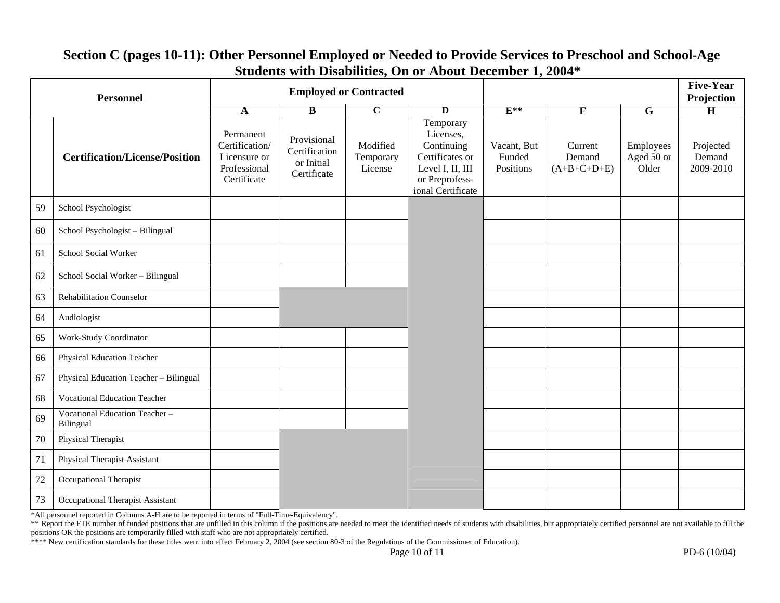| <b>Personnel</b> |                                            |                                                                            |                                                           | <b>Employed or Contracted</b>    |                                                                                                                    |                                    |                                    |                                  | <b>Five-Year</b><br>Projection   |
|------------------|--------------------------------------------|----------------------------------------------------------------------------|-----------------------------------------------------------|----------------------------------|--------------------------------------------------------------------------------------------------------------------|------------------------------------|------------------------------------|----------------------------------|----------------------------------|
|                  |                                            | $\mathbf A$                                                                | $\bf{B}$                                                  | $\mathbf C$                      | $\mathbf{D}$                                                                                                       | $E^{**}$                           | $\mathbf F$                        | $\mathbf G$                      | $\mathbf H$                      |
|                  | <b>Certification/License/Position</b>      | Permanent<br>Certification/<br>Licensure or<br>Professional<br>Certificate | Provisional<br>Certification<br>or Initial<br>Certificate | Modified<br>Temporary<br>License | Temporary<br>Licenses,<br>Continuing<br>Certificates or<br>Level I, II, III<br>or Preprofess-<br>ional Certificate | Vacant, But<br>Funded<br>Positions | Current<br>Demand<br>$(A+B+C+D+E)$ | Employees<br>Aged 50 or<br>Older | Projected<br>Demand<br>2009-2010 |
| 59               | School Psychologist                        |                                                                            |                                                           |                                  |                                                                                                                    |                                    |                                    |                                  |                                  |
| 60               | School Psychologist - Bilingual            |                                                                            |                                                           |                                  |                                                                                                                    |                                    |                                    |                                  |                                  |
| 61               | School Social Worker                       |                                                                            |                                                           |                                  |                                                                                                                    |                                    |                                    |                                  |                                  |
| 62               | School Social Worker - Bilingual           |                                                                            |                                                           |                                  |                                                                                                                    |                                    |                                    |                                  |                                  |
| 63               | Rehabilitation Counselor                   |                                                                            |                                                           |                                  |                                                                                                                    |                                    |                                    |                                  |                                  |
| 64               | Audiologist                                |                                                                            |                                                           |                                  |                                                                                                                    |                                    |                                    |                                  |                                  |
| 65               | Work-Study Coordinator                     |                                                                            |                                                           |                                  |                                                                                                                    |                                    |                                    |                                  |                                  |
| 66               | Physical Education Teacher                 |                                                                            |                                                           |                                  |                                                                                                                    |                                    |                                    |                                  |                                  |
| 67               | Physical Education Teacher - Bilingual     |                                                                            |                                                           |                                  |                                                                                                                    |                                    |                                    |                                  |                                  |
| 68               | <b>Vocational Education Teacher</b>        |                                                                            |                                                           |                                  |                                                                                                                    |                                    |                                    |                                  |                                  |
| 69               | Vocational Education Teacher-<br>Bilingual |                                                                            |                                                           |                                  |                                                                                                                    |                                    |                                    |                                  |                                  |
| 70               | Physical Therapist                         |                                                                            |                                                           |                                  |                                                                                                                    |                                    |                                    |                                  |                                  |
| 71               | Physical Therapist Assistant               |                                                                            |                                                           |                                  |                                                                                                                    |                                    |                                    |                                  |                                  |
| 72               | Occupational Therapist                     |                                                                            |                                                           |                                  |                                                                                                                    |                                    |                                    |                                  |                                  |
| 73               | Occupational Therapist Assistant           |                                                                            |                                                           |                                  |                                                                                                                    |                                    |                                    |                                  |                                  |

## **Section C (pages 10-11): Other Personnel Employed or Needed to Provide Services to Preschool and School-Age Students with Disabilities, On or About December 1, 2004\***

\*All personnel reported in Columns A-H are to be reported in terms of "Full-Time-Equivalency".

<sup>\*\*</sup> Report the FTE number of funded positions that are unfilled in this column if the positions are needed to meet the identified needs of students with disabilities, but appropriately certified personnel are not available positions OR the positions are temporarily filled with staff who are not appropriately certified.

<sup>\*\*\*\*</sup> New certification standards for these titles went into effect February 2, 2004 (see section 80-3 of the Regulations of the Commissioner of Education).